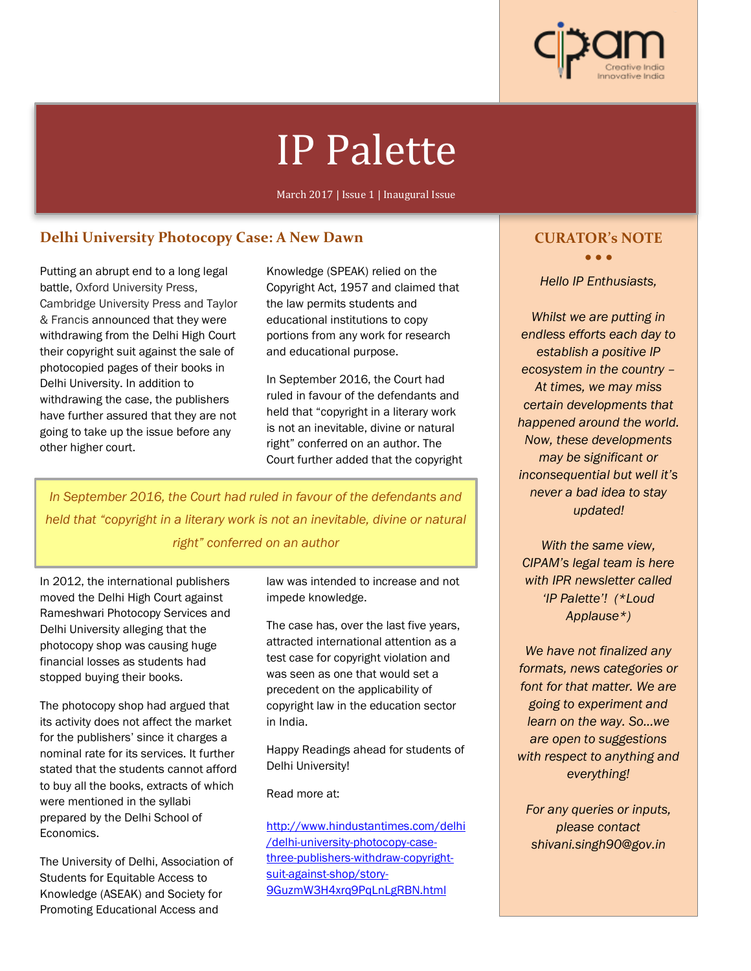

# IP Palette

March 2017 | Issue 1 | Inaugural Issue

# **Delhi University Photocopy Case: A New Dawn**

Putting an abrupt end to a long legal battle, Oxford University Press, Cambridge University Press and Taylor & Francis announced that they were withdrawing from the Delhi High Court their copyright suit against the sale of photocopied pages of their books in Delhi University. In addition to withdrawing the case, the publishers have further assured that they are not going to take up the issue before any other higher court.

Knowledge (SPEAK) relied on the Copyright Act, 1957 and claimed that the law permits students and educational institutions to copy portions from any work for research and educational purpose.

In September 2016, the Court had ruled in favour of the defendants and held that "copyright in a literary work is not an inevitable, divine or natural right" conferred on an author. The Court further added that the copyright

*In September 2016, the Court had ruled in favour of the defendants and held that "copyright in a literary work is not an inevitable, divine or natural right" conferred on an author* 

In 2012, the international publishers moved the Delhi High Court against Rameshwari Photocopy Services and Delhi University alleging that the photocopy shop was causing huge financial losses as students had stopped buying their books.

The photocopy shop had argued that its activity does not affect the market for the publishers' since it charges a nominal rate for its services. It further stated that the students cannot afford to buy all the books, extracts of which were mentioned in the syllabi prepared by the Delhi School of Economics.

The University of Delhi, Association of Students for Equitable Access to Knowledge (ASEAK) and Society for Promoting Educational Access and

law was intended to increase and not impede knowledge.

The case has, over the last five years, attracted international attention as a test case for copyright violation and was seen as one that would set a precedent on the applicability of copyright law in the education sector in India.

Happy Readings ahead for students of Delhi University!

Read more at:

http://www.hindustantimes.com/delhi /delhi-university-photocopy-casethree-publishers-withdraw-copyrightsuit-against-shop/story-9GuzmW3H4xrq9PqLnLgRBN.html

# **CURATOR's NOTE**

• • •

*Hello IP Enthusiasts,*

*Whilst we are putting in endless efforts each day to establish a positive IP ecosystem in the country – At times, we may miss certain developments that happened around the world. Now, these developments may be significant or inconsequential but well it's never a bad idea to stay updated!*

*With the same view, CIPAM's legal team is here with IPR newsletter called 'IP Palette'! (\*Loud Applause\*)*

*We have not finalized any formats, news categories or font for that matter. We are going to experiment and learn on the way. So...we are open to suggestions with respect to anything and everything!* 

*For any queries or inputs, please contact shivani.singh90@gov.in*